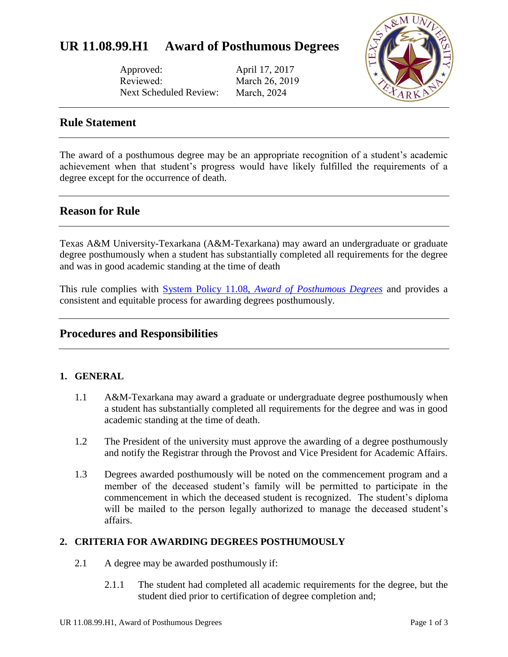Approved: Reviewed: Next Scheduled Review:

April 17, 2017 March 26, 2019 March, 2024



# **Rule Statement**

The award of a posthumous degree may be an appropriate recognition of a student's academic achievement when that student's progress would have likely fulfilled the requirements of a degree except for the occurrence of death.

# **Reason for Rule**

Texas A&M University-Texarkana (A&M-Texarkana) may award an undergraduate or graduate degree posthumously when a student has substantially completed all requirements for the degree and was in good academic standing at the time of death

This rule complies with System Policy 11.08, *[Award of Posthumous Degrees](http://policies.tamus.edu/11-08.pdf)* and provides a consistent and equitable process for awarding degrees posthumously.

# **Procedures and Responsibilities**

### **1. GENERAL**

- 1.1 A&M-Texarkana may award a graduate or undergraduate degree posthumously when a student has substantially completed all requirements for the degree and was in good academic standing at the time of death.
- 1.2 The President of the university must approve the awarding of a degree posthumously and notify the Registrar through the Provost and Vice President for Academic Affairs.
- 1.3 Degrees awarded posthumously will be noted on the commencement program and a member of the deceased student's family will be permitted to participate in the commencement in which the deceased student is recognized. The student's diploma will be mailed to the person legally authorized to manage the deceased student's affairs.

### **2. CRITERIA FOR AWARDING DEGREES POSTHUMOUSLY**

- 2.1 A degree may be awarded posthumously if:
	- 2.1.1 The student had completed all academic requirements for the degree, but the student died prior to certification of degree completion and;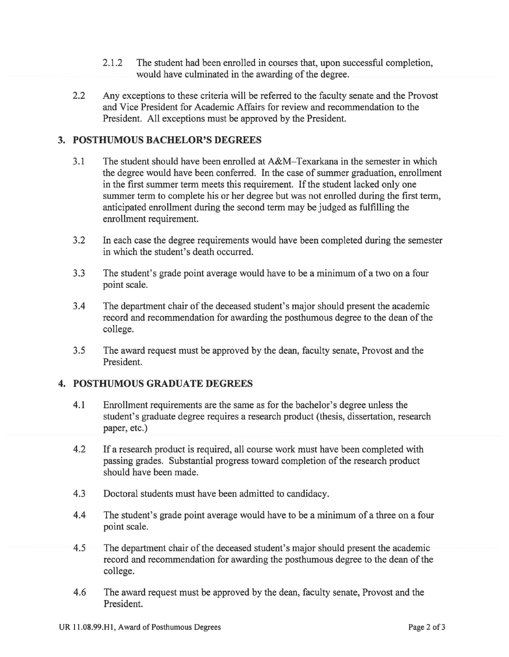- 2.1.2 The student had been enrolled in courses that, upon successful completion, would have culminated in the awarding of the degree.
- 2.2 Any exceptions to these criteria will be referred to the faculty senate and the Provost and Vice President for Academic Affairs for review and recommendation to the President. All exceptions must be approved by the President.

### **3. POSTHUMOUS BACHELOR'S DEGREES**

- 3.1 The student should have been enrolled at A&M-Texarkana in the semester in which the degree would have been conferred. In the case of summer graduation, enrollment in the first summer term meets this requirement. If the student lacked only one summer term to complete his or her degree but was not enrolled during the first term, anticipated enrollment during the second term may be judged as fulfilling the enrollment requirement.
- 3.2 In each case the degree requirements would have been completed during the semester in which the student's death occurred.
- 3.3 The student's grade point average would have to be a minimum of a two on a four point scale.
- 3.4 The department chair of the deceased student's major should present the academic record and recommendation for awarding the posthumous degree to the dean of the college.
- 3.5 The award request must be approved by the dean, faculty senate, Provost and the President.

#### **4. POSTHUMOUS GRADUATE DEGREES**

- 4.1 Enrollment requirements are the same as for the bachelor's degree unless the student's graduate degree requires a research product (thesis, dissertation, research paper, etc.)
- 4.2 If a research product is required, all course work must have been completed with passing grades. Substantial progress toward completion of the research product should have been made.
- 4.3 Doctoral students must have been admitted to candidacy.
- 4.4 The student's grade point average would have to be a minimum of a three on a four point scale.
- 4.5 The department chair of the deceased student's major should present the academic record and recommendation for awarding the posthumous degree to the dean of the college.
- 4.6 The award request must be approved by the dean, faculty senate, Provost and the President.